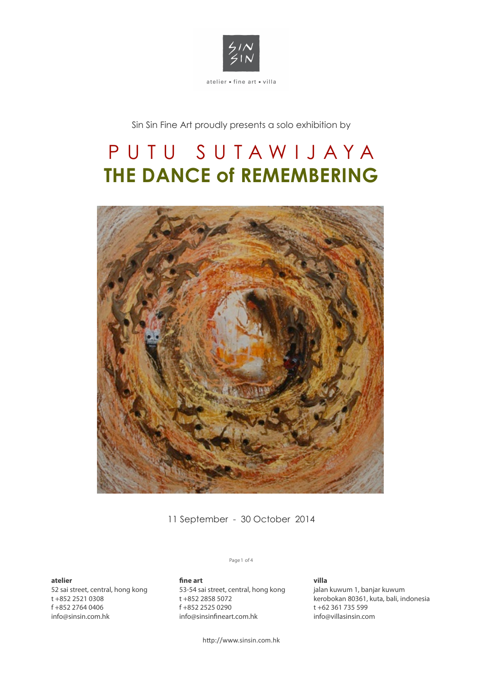

Sin Sin Fine Art proudly presents a solo exhibition by

# PUTU SUTAWIJAY A **THE DANCE of REMEMBERING**



11 September - 30 October 2014

**atelier** 

52 sai street, central, hong kong t +852 2521 0308 f +852 2764 0406 info@sinsin.com.hk

## Page 1 of 4

fine art 53-54 sai street, central, hong kong t +852 2858 5072 f +852 2525 0290 info@sinsinfineart.com.hk

**villa** jalan kuwum 1, banjar kuwum kerobokan 80361, kuta, bali, indonesia t +62 361 735 599 info@villasinsin.com

http://www.sinsin.com.hk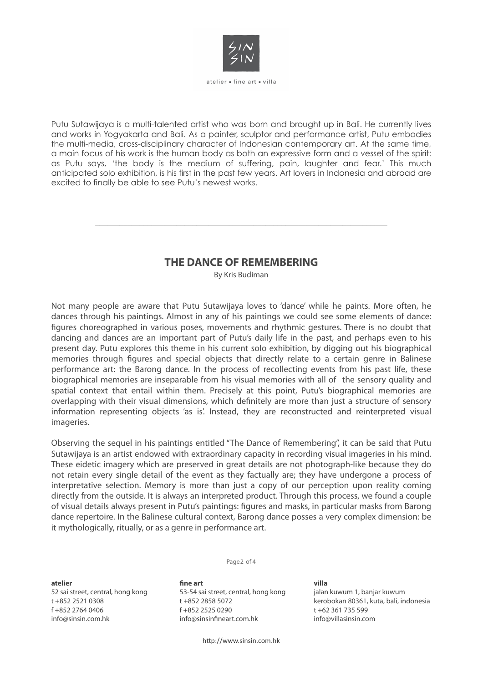

atelier = fine art = villa

Putu Sutawijaya is a multi-talented artist who was born and brought up in Bali. He currently lives and works in Yogyakarta and Bali. As a painter, sculptor and performance artist, Putu embodies the multi-media, cross-disciplinary character of Indonesian contemporary art. At the same time, a main focus of his work is the human body as both an expressive form and a vessel of the spirit: as Putu says, 'the body is the medium of suffering, pain, laughter and fear.' This much anticipated solo exhibition, is his first in the past few years. Art lovers in Indonesia and abroad are excited to finally be able to see Putu's newest works.

# **THE DANCE OF REMEMBERING**

 $\_$  , and the set of the set of the set of the set of the set of the set of the set of the set of the set of the set of the set of the set of the set of the set of the set of the set of the set of the set of the set of th

By Kris Budiman

Not many people are aware that Putu Sutawijaya loves to 'dance' while he paints. More often, he dances through his paintings. Almost in any of his paintings we could see some elements of dance: figures choreographed in various poses, movements and rhythmic gestures. There is no doubt that dancing and dances are an important part of Putu's daily life in the past, and perhaps even to his present day. Putu explores this theme in his current solo exhibition, by digging out his biographical memories through figures and special objects that directly relate to a certain genre in Balinese performance art: the Barong dance. In the process of recollecting events from his past life, these biographical memories are inseparable from his visual memories with all of the sensory quality and spatial context that entail within them. Precisely at this point, Putu's biographical memories are overlapping with their visual dimensions, which definitely are more than just a structure of sensory information representing objects 'as is'. Instead, they are reconstructed and reinterpreted visual imageries.

Observing the sequel in his paintings entitled "The Dance of Remembering", it can be said that Putu Sutawijaya is an artist endowed with extraordinary capacity in recording visual imageries in his mind. These eidetic imagery which are preserved in great details are not photograph-like because they do not retain every single detail of the event as they factually are; they have undergone a process of interpretative selection. Memory is more than just a copy of our perception upon reality coming directly from the outside. It is always an interpreted product. Through this process, we found a couple of visual details always present in Putu's paintings: figures and masks, in particular masks from Barong dance repertoire. In the Balinese cultural context, Barong dance posses a very complex dimension: be it mythologically, ritually, or as a genre in performance art.

Page 2 of 4

## **atelier**

52 sai street, central, hong kong t +852 2521 0308 f +852 2764 0406 info@sinsin.com.hk

#### **!ne art**

53-54 sai street, central, hong kong t +852 2858 5072 f +852 2525 0290 info@sinsinfineart.com.hk

**villa**

jalan kuwum 1, banjar kuwum kerobokan 80361, kuta, bali, indonesia t +62 361 735 599 info@villasinsin.com

http://www.sinsin.com.hk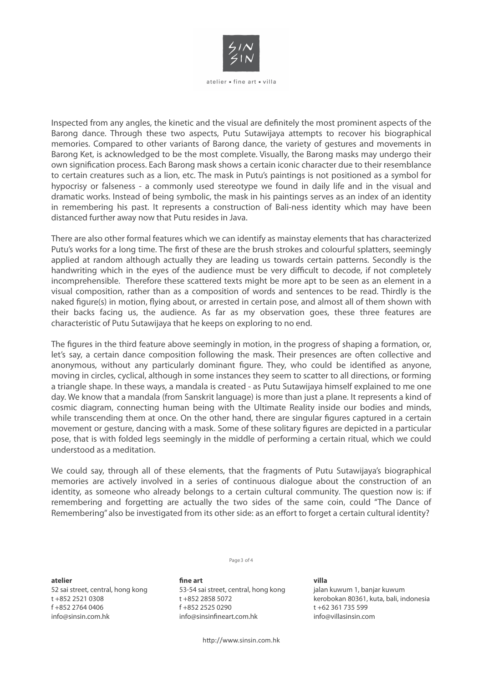

atelier = fine art = villa

Inspected from any angles, the kinetic and the visual are definitely the most prominent aspects of the Barong dance. Through these two aspects, Putu Sutawijaya attempts to recover his biographical memories. Compared to other variants of Barong dance, the variety of gestures and movements in Barong Ket, is acknowledged to be the most complete. Visually, the Barong masks may undergo their own signification process. Each Barong mask shows a certain iconic character due to their resemblance to certain creatures such as a lion, etc. The mask in Putu's paintings is not positioned as a symbol for hypocrisy or falseness - a commonly used stereotype we found in daily life and in the visual and dramatic works. Instead of being symbolic, the mask in his paintings serves as an index of an identity in remembering his past. It represents a construction of Bali-ness identity which may have been distanced further away now that Putu resides in Java.

There are also other formal features which we can identify as mainstay elements that has characterized Putu's works for a long time. The first of these are the brush strokes and colourful splatters, seemingly applied at random although actually they are leading us towards certain patterns. Secondly is the handwriting which in the eyes of the audience must be very difficult to decode, if not completely incomprehensible. Therefore these scattered texts might be more apt to be seen as an element in a visual composition, rather than as a composition of words and sentences to be read. Thirdly is the naked figure(s) in motion, flying about, or arrested in certain pose, and almost all of them shown with their backs facing us, the audience. As far as my observation goes, these three features are characteristic of Putu Sutawijaya that he keeps on exploring to no end.

The figures in the third feature above seemingly in motion, in the progress of shaping a formation, or, let's say, a certain dance composition following the mask. Their presences are often collective and anonymous, without any particularly dominant figure. They, who could be identified as anyone, moving in circles, cyclical, although in some instances they seem to scatter to all directions, or forming a triangle shape. In these ways, a mandala is created - as Putu Sutawijaya himself explained to me one day. We know that a mandala (from Sanskrit language) is more than just a plane. It represents a kind of cosmic diagram, connecting human being with the Ultimate Reality inside our bodies and minds, while transcending them at once. On the other hand, there are singular figures captured in a certain movement or gesture, dancing with a mask. Some of these solitary figures are depicted in a particular pose, that is with folded legs seemingly in the middle of performing a certain ritual, which we could understood as a meditation.

We could say, through all of these elements, that the fragments of Putu Sutawijaya's biographical memories are actively involved in a series of continuous dialogue about the construction of an identity, as someone who already belongs to a certain cultural community. The question now is: if remembering and forgetting are actually the two sides of the same coin, could "The Dance of Remembering" also be investigated from its other side: as an effort to forget a certain cultural identity?

Page 3 of 4

**atelier** 

52 sai street, central, hong kong t +852 2521 0308 f +852 2764 0406 info@sinsin.com.hk

fine art 53-54 sai street, central, hong kong t +852 2858 5072 f +852 2525 0290 info@sinsinfineart.com.hk

**villa** jalan kuwum 1, banjar kuwum kerobokan 80361, kuta, bali, indonesia t +62 361 735 599 info@villasinsin.com

http://www.sinsin.com.hk